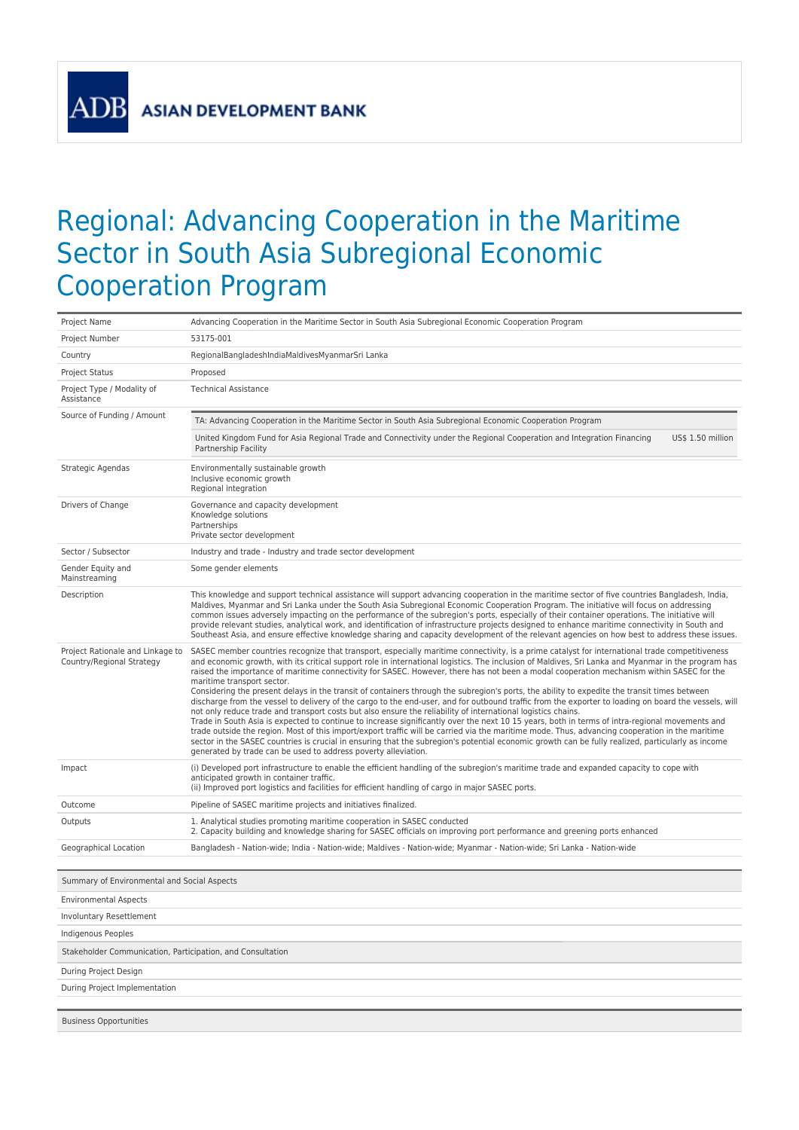**ASIAN DEVELOPMENT BANK** 

**AD** 

## Regional: Advancing Cooperation in the Maritime Sector in South Asia Subregional Economic Cooperation Program

| Project Name                                                  | Advancing Cooperation in the Maritime Sector in South Asia Subregional Economic Cooperation Program                                                                                                                                                                                                                                                                                                                                                                                                                                                                                                                                                                                                                                                                                                                                                                                                                                                                                                                                                                                                                                                                                                                                                                                                                                                                                                                                 |  |
|---------------------------------------------------------------|-------------------------------------------------------------------------------------------------------------------------------------------------------------------------------------------------------------------------------------------------------------------------------------------------------------------------------------------------------------------------------------------------------------------------------------------------------------------------------------------------------------------------------------------------------------------------------------------------------------------------------------------------------------------------------------------------------------------------------------------------------------------------------------------------------------------------------------------------------------------------------------------------------------------------------------------------------------------------------------------------------------------------------------------------------------------------------------------------------------------------------------------------------------------------------------------------------------------------------------------------------------------------------------------------------------------------------------------------------------------------------------------------------------------------------------|--|
| Project Number                                                | 53175-001                                                                                                                                                                                                                                                                                                                                                                                                                                                                                                                                                                                                                                                                                                                                                                                                                                                                                                                                                                                                                                                                                                                                                                                                                                                                                                                                                                                                                           |  |
| Country                                                       | RegionalBangladeshIndiaMaldivesMyanmarSri Lanka                                                                                                                                                                                                                                                                                                                                                                                                                                                                                                                                                                                                                                                                                                                                                                                                                                                                                                                                                                                                                                                                                                                                                                                                                                                                                                                                                                                     |  |
| <b>Project Status</b>                                         | Proposed                                                                                                                                                                                                                                                                                                                                                                                                                                                                                                                                                                                                                                                                                                                                                                                                                                                                                                                                                                                                                                                                                                                                                                                                                                                                                                                                                                                                                            |  |
| Project Type / Modality of<br>Assistance                      | <b>Technical Assistance</b>                                                                                                                                                                                                                                                                                                                                                                                                                                                                                                                                                                                                                                                                                                                                                                                                                                                                                                                                                                                                                                                                                                                                                                                                                                                                                                                                                                                                         |  |
| Source of Funding / Amount                                    | TA: Advancing Cooperation in the Maritime Sector in South Asia Subregional Economic Cooperation Program                                                                                                                                                                                                                                                                                                                                                                                                                                                                                                                                                                                                                                                                                                                                                                                                                                                                                                                                                                                                                                                                                                                                                                                                                                                                                                                             |  |
|                                                               | United Kingdom Fund for Asia Regional Trade and Connectivity under the Regional Cooperation and Integration Financing<br>US\$ 1.50 million<br>Partnership Facility                                                                                                                                                                                                                                                                                                                                                                                                                                                                                                                                                                                                                                                                                                                                                                                                                                                                                                                                                                                                                                                                                                                                                                                                                                                                  |  |
| Strategic Agendas                                             | Environmentally sustainable growth<br>Inclusive economic growth<br>Regional integration                                                                                                                                                                                                                                                                                                                                                                                                                                                                                                                                                                                                                                                                                                                                                                                                                                                                                                                                                                                                                                                                                                                                                                                                                                                                                                                                             |  |
| Drivers of Change                                             | Governance and capacity development<br>Knowledge solutions<br>Partnerships<br>Private sector development                                                                                                                                                                                                                                                                                                                                                                                                                                                                                                                                                                                                                                                                                                                                                                                                                                                                                                                                                                                                                                                                                                                                                                                                                                                                                                                            |  |
| Sector / Subsector                                            | Industry and trade - Industry and trade sector development                                                                                                                                                                                                                                                                                                                                                                                                                                                                                                                                                                                                                                                                                                                                                                                                                                                                                                                                                                                                                                                                                                                                                                                                                                                                                                                                                                          |  |
| Gender Equity and<br>Mainstreaming                            | Some gender elements                                                                                                                                                                                                                                                                                                                                                                                                                                                                                                                                                                                                                                                                                                                                                                                                                                                                                                                                                                                                                                                                                                                                                                                                                                                                                                                                                                                                                |  |
| Description                                                   | This knowledge and support technical assistance will support advancing cooperation in the maritime sector of five countries Bangladesh, India,<br>Maldives, Myanmar and Sri Lanka under the South Asia Subregional Economic Cooperation Program. The initiative will focus on addressing<br>common issues adversely impacting on the performance of the subregion's ports, especially of their container operations. The initiative will<br>provide relevant studies, analytical work, and identification of infrastructure projects designed to enhance maritime connectivity in South and<br>Southeast Asia, and ensure effective knowledge sharing and capacity development of the relevant agencies on how best to address these issues.                                                                                                                                                                                                                                                                                                                                                                                                                                                                                                                                                                                                                                                                                        |  |
| Project Rationale and Linkage to<br>Country/Regional Strategy | SASEC member countries recognize that transport, especially maritime connectivity, is a prime catalyst for international trade competitiveness<br>and economic growth, with its critical support role in international logistics. The inclusion of Maldives, Sri Lanka and Myanmar in the program has<br>raised the importance of maritime connectivity for SASEC. However, there has not been a modal cooperation mechanism within SASEC for the<br>maritime transport sector.<br>Considering the present delays in the transit of containers through the subregion's ports, the ability to expedite the transit times between<br>discharge from the vessel to delivery of the cargo to the end-user, and for outbound traffic from the exporter to loading on board the vessels, will<br>not only reduce trade and transport costs but also ensure the reliability of international logistics chains.<br>Trade in South Asia is expected to continue to increase significantly over the next 10 15 years, both in terms of intra-regional movements and<br>trade outside the region. Most of this import/export traffic will be carried via the maritime mode. Thus, advancing cooperation in the maritime<br>sector in the SASEC countries is crucial in ensuring that the subregion's potential economic growth can be fully realized, particularly as income<br>generated by trade can be used to address poverty alleviation. |  |
| Impact                                                        | (i) Developed port infrastructure to enable the efficient handling of the subregion's maritime trade and expanded capacity to cope with<br>anticipated growth in container traffic.<br>(ii) Improved port logistics and facilities for efficient handling of cargo in major SASEC ports.                                                                                                                                                                                                                                                                                                                                                                                                                                                                                                                                                                                                                                                                                                                                                                                                                                                                                                                                                                                                                                                                                                                                            |  |
| Outcome                                                       | Pipeline of SASEC maritime projects and initiatives finalized.                                                                                                                                                                                                                                                                                                                                                                                                                                                                                                                                                                                                                                                                                                                                                                                                                                                                                                                                                                                                                                                                                                                                                                                                                                                                                                                                                                      |  |
| Outputs                                                       | 1. Analytical studies promoting maritime cooperation in SASEC conducted<br>2. Capacity building and knowledge sharing for SASEC officials on improving port performance and greening ports enhanced                                                                                                                                                                                                                                                                                                                                                                                                                                                                                                                                                                                                                                                                                                                                                                                                                                                                                                                                                                                                                                                                                                                                                                                                                                 |  |
| Geographical Location                                         | Bangladesh - Nation-wide; India - Nation-wide; Maldives - Nation-wide; Myanmar - Nation-wide; Sri Lanka - Nation-wide                                                                                                                                                                                                                                                                                                                                                                                                                                                                                                                                                                                                                                                                                                                                                                                                                                                                                                                                                                                                                                                                                                                                                                                                                                                                                                               |  |
| Summary of Environmental and Social Aspects                   |                                                                                                                                                                                                                                                                                                                                                                                                                                                                                                                                                                                                                                                                                                                                                                                                                                                                                                                                                                                                                                                                                                                                                                                                                                                                                                                                                                                                                                     |  |
| <b>Environmental Aspects</b>                                  |                                                                                                                                                                                                                                                                                                                                                                                                                                                                                                                                                                                                                                                                                                                                                                                                                                                                                                                                                                                                                                                                                                                                                                                                                                                                                                                                                                                                                                     |  |
| Involuntary Resettlement                                      |                                                                                                                                                                                                                                                                                                                                                                                                                                                                                                                                                                                                                                                                                                                                                                                                                                                                                                                                                                                                                                                                                                                                                                                                                                                                                                                                                                                                                                     |  |
| Indigenous Peoples                                            |                                                                                                                                                                                                                                                                                                                                                                                                                                                                                                                                                                                                                                                                                                                                                                                                                                                                                                                                                                                                                                                                                                                                                                                                                                                                                                                                                                                                                                     |  |
| Stakeholder Communication, Participation, and Consultation    |                                                                                                                                                                                                                                                                                                                                                                                                                                                                                                                                                                                                                                                                                                                                                                                                                                                                                                                                                                                                                                                                                                                                                                                                                                                                                                                                                                                                                                     |  |
| During Project Design                                         |                                                                                                                                                                                                                                                                                                                                                                                                                                                                                                                                                                                                                                                                                                                                                                                                                                                                                                                                                                                                                                                                                                                                                                                                                                                                                                                                                                                                                                     |  |
| During Project Implementation                                 |                                                                                                                                                                                                                                                                                                                                                                                                                                                                                                                                                                                                                                                                                                                                                                                                                                                                                                                                                                                                                                                                                                                                                                                                                                                                                                                                                                                                                                     |  |
|                                                               |                                                                                                                                                                                                                                                                                                                                                                                                                                                                                                                                                                                                                                                                                                                                                                                                                                                                                                                                                                                                                                                                                                                                                                                                                                                                                                                                                                                                                                     |  |

Business Opportunities